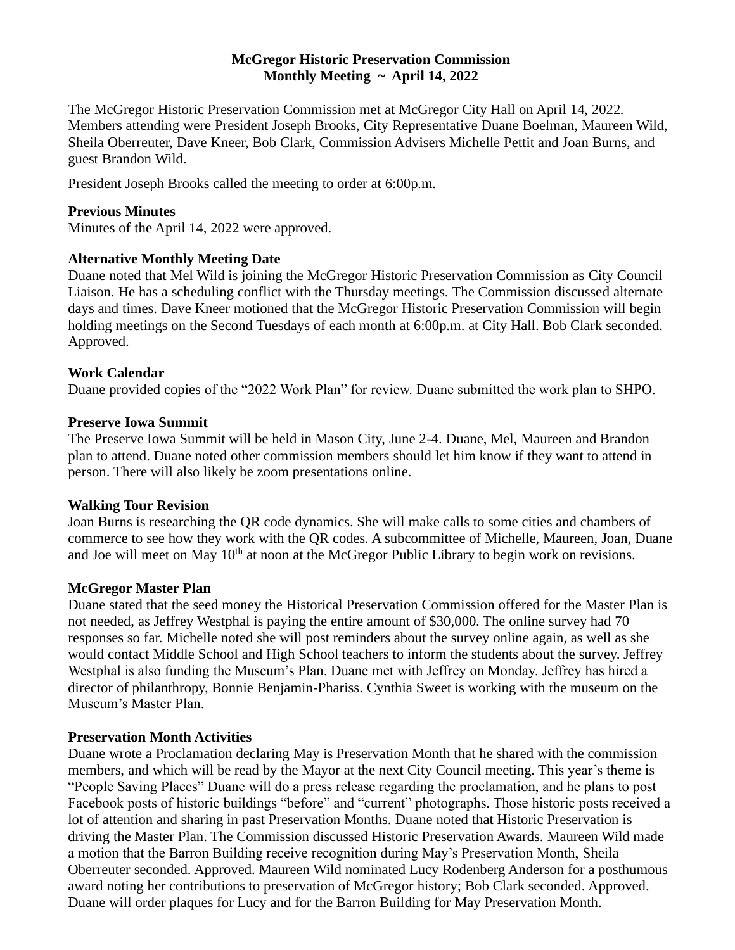# **McGregor Historic Preservation Commission Monthly Meeting ~ April 14, 2022**

The McGregor Historic Preservation Commission met at McGregor City Hall on April 14, 2022. Members attending were President Joseph Brooks, City Representative Duane Boelman, Maureen Wild, Sheila Oberreuter, Dave Kneer, Bob Clark, Commission Advisers Michelle Pettit and Joan Burns, and guest Brandon Wild.

President Joseph Brooks called the meeting to order at 6:00p.m.

## **Previous Minutes**

Minutes of the April 14, 2022 were approved.

# **Alternative Monthly Meeting Date**

Duane noted that Mel Wild is joining the McGregor Historic Preservation Commission as City Council Liaison. He has a scheduling conflict with the Thursday meetings. The Commission discussed alternate days and times. Dave Kneer motioned that the McGregor Historic Preservation Commission will begin holding meetings on the Second Tuesdays of each month at 6:00p.m. at City Hall. Bob Clark seconded. Approved.

### **Work Calendar**

Duane provided copies of the "2022 Work Plan" for review. Duane submitted the work plan to SHPO.

### **Preserve Iowa Summit**

The Preserve Iowa Summit will be held in Mason City, June 2-4. Duane, Mel, Maureen and Brandon plan to attend. Duane noted other commission members should let him know if they want to attend in person. There will also likely be zoom presentations online.

### **Walking Tour Revision**

Joan Burns is researching the QR code dynamics. She will make calls to some cities and chambers of commerce to see how they work with the QR codes. A subcommittee of Michelle, Maureen, Joan, Duane and Joe will meet on May  $10<sup>th</sup>$  at noon at the McGregor Public Library to begin work on revisions.

### **McGregor Master Plan**

Duane stated that the seed money the Historical Preservation Commission offered for the Master Plan is not needed, as Jeffrey Westphal is paying the entire amount of \$30,000. The online survey had 70 responses so far. Michelle noted she will post reminders about the survey online again, as well as she would contact Middle School and High School teachers to inform the students about the survey. Jeffrey Westphal is also funding the Museum's Plan. Duane met with Jeffrey on Monday. Jeffrey has hired a director of philanthropy, Bonnie Benjamin-Phariss. Cynthia Sweet is working with the museum on the Museum's Master Plan.

### **Preservation Month Activities**

Duane wrote a Proclamation declaring May is Preservation Month that he shared with the commission members, and which will be read by the Mayor at the next City Council meeting. This year's theme is "People Saving Places" Duane will do a press release regarding the proclamation, and he plans to post Facebook posts of historic buildings "before" and "current" photographs. Those historic posts received a lot of attention and sharing in past Preservation Months. Duane noted that Historic Preservation is driving the Master Plan. The Commission discussed Historic Preservation Awards. Maureen Wild made a motion that the Barron Building receive recognition during May's Preservation Month, Sheila Oberreuter seconded. Approved. Maureen Wild nominated Lucy Rodenberg Anderson for a posthumous award noting her contributions to preservation of McGregor history; Bob Clark seconded. Approved. Duane will order plaques for Lucy and for the Barron Building for May Preservation Month.